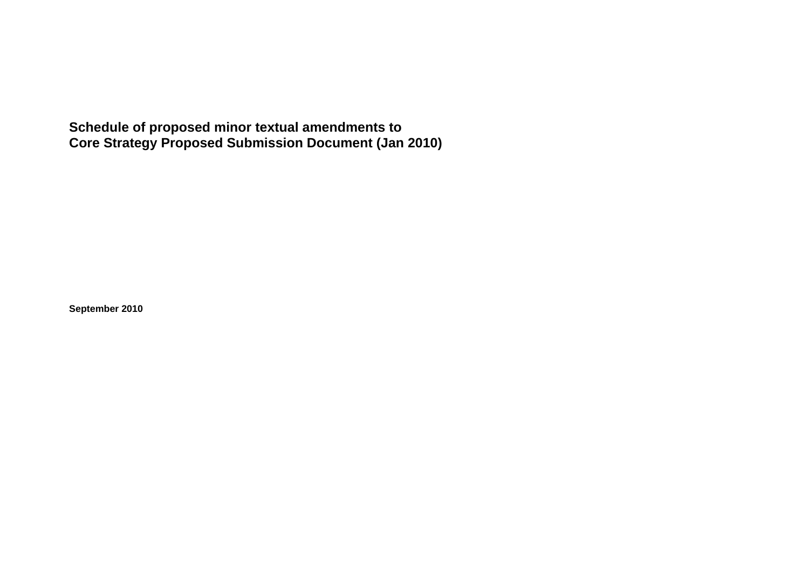**Schedule of proposed minor textual amendments to Core Strategy Proposed Submission Document (Jan 2010)** 

**September 2010**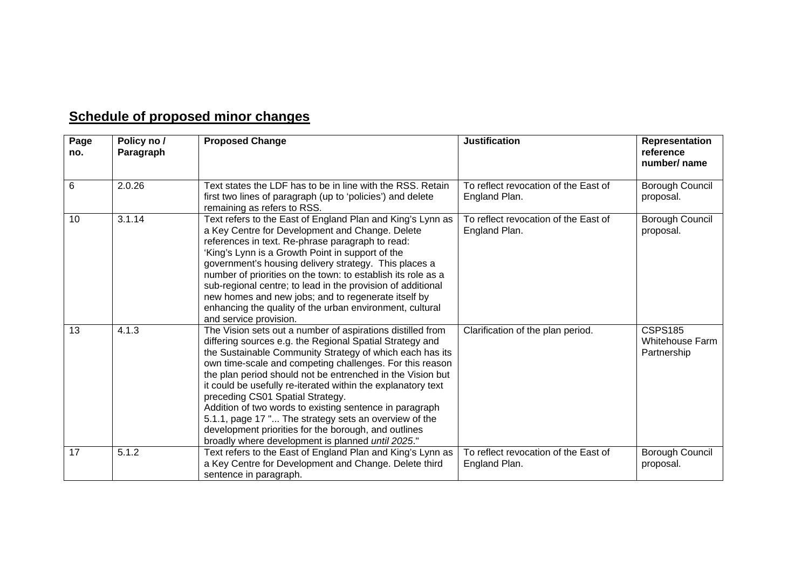## **Schedule of proposed minor changes**

| Page<br>no. | Policy no /<br>Paragraph | <b>Proposed Change</b>                                                                                                                                                                                                                                                                                                                                                                                                                                                                                                                                                                                                                            | <b>Justification</b>                                  | Representation<br>reference<br>number/ name             |
|-------------|--------------------------|---------------------------------------------------------------------------------------------------------------------------------------------------------------------------------------------------------------------------------------------------------------------------------------------------------------------------------------------------------------------------------------------------------------------------------------------------------------------------------------------------------------------------------------------------------------------------------------------------------------------------------------------------|-------------------------------------------------------|---------------------------------------------------------|
|             |                          |                                                                                                                                                                                                                                                                                                                                                                                                                                                                                                                                                                                                                                                   |                                                       |                                                         |
| 6           | 2.0.26                   | Text states the LDF has to be in line with the RSS. Retain<br>first two lines of paragraph (up to 'policies') and delete<br>remaining as refers to RSS.                                                                                                                                                                                                                                                                                                                                                                                                                                                                                           | To reflect revocation of the East of<br>England Plan. | Borough Council<br>proposal.                            |
| 10          | 3.1.14                   | Text refers to the East of England Plan and King's Lynn as<br>a Key Centre for Development and Change. Delete<br>references in text. Re-phrase paragraph to read:<br>'King's Lynn is a Growth Point in support of the<br>government's housing delivery strategy. This places a<br>number of priorities on the town: to establish its role as a<br>sub-regional centre; to lead in the provision of additional<br>new homes and new jobs; and to regenerate itself by<br>enhancing the quality of the urban environment, cultural<br>and service provision.                                                                                        | To reflect revocation of the East of<br>England Plan. | Borough Council<br>proposal.                            |
| 13          | 4.1.3                    | The Vision sets out a number of aspirations distilled from<br>differing sources e.g. the Regional Spatial Strategy and<br>the Sustainable Community Strategy of which each has its<br>own time-scale and competing challenges. For this reason<br>the plan period should not be entrenched in the Vision but<br>it could be usefully re-iterated within the explanatory text<br>preceding CS01 Spatial Strategy.<br>Addition of two words to existing sentence in paragraph<br>5.1.1, page 17 " The strategy sets an overview of the<br>development priorities for the borough, and outlines<br>broadly where development is planned until 2025." | Clarification of the plan period.                     | <b>CSPS185</b><br><b>Whitehouse Farm</b><br>Partnership |
| 17          | 5.1.2                    | Text refers to the East of England Plan and King's Lynn as<br>a Key Centre for Development and Change. Delete third<br>sentence in paragraph.                                                                                                                                                                                                                                                                                                                                                                                                                                                                                                     | To reflect revocation of the East of<br>England Plan. | Borough Council<br>proposal.                            |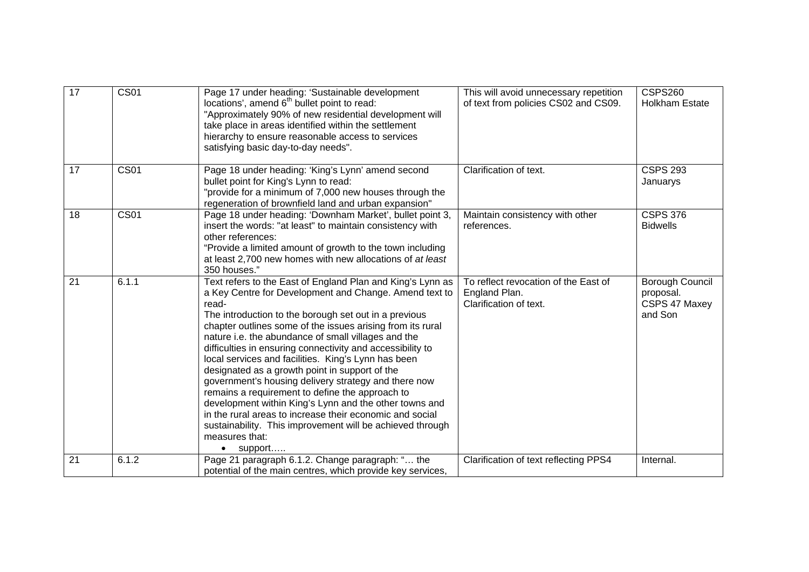| 17 | <b>CS01</b> | Page 17 under heading: 'Sustainable development<br>locations', amend 6 <sup>th</sup> bullet point to read:<br>"Approximately 90% of new residential development will<br>take place in areas identified within the settlement<br>hierarchy to ensure reasonable access to services<br>satisfying basic day-to-day needs".                                                                                                                                                                                                                                                                                                                                                                                                                                                                                                   | This will avoid unnecessary repetition<br>of text from policies CS02 and CS09.  | <b>CSPS260</b><br><b>Holkham Estate</b>                         |
|----|-------------|----------------------------------------------------------------------------------------------------------------------------------------------------------------------------------------------------------------------------------------------------------------------------------------------------------------------------------------------------------------------------------------------------------------------------------------------------------------------------------------------------------------------------------------------------------------------------------------------------------------------------------------------------------------------------------------------------------------------------------------------------------------------------------------------------------------------------|---------------------------------------------------------------------------------|-----------------------------------------------------------------|
| 17 | <b>CS01</b> | Page 18 under heading: 'King's Lynn' amend second<br>bullet point for King's Lynn to read:<br>"provide for a minimum of 7,000 new houses through the<br>regeneration of brownfield land and urban expansion"                                                                                                                                                                                                                                                                                                                                                                                                                                                                                                                                                                                                               | Clarification of text.                                                          | <b>CSPS 293</b><br>Januarys                                     |
| 18 | <b>CS01</b> | Page 18 under heading: 'Downham Market', bullet point 3,<br>insert the words: "at least" to maintain consistency with<br>other references:<br>"Provide a limited amount of growth to the town including<br>at least 2,700 new homes with new allocations of at least<br>350 houses."                                                                                                                                                                                                                                                                                                                                                                                                                                                                                                                                       | Maintain consistency with other<br>references.                                  | <b>CSPS 376</b><br><b>Bidwells</b>                              |
| 21 | 6.1.1       | Text refers to the East of England Plan and King's Lynn as<br>a Key Centre for Development and Change. Amend text to<br>read-<br>The introduction to the borough set out in a previous<br>chapter outlines some of the issues arising from its rural<br>nature i.e. the abundance of small villages and the<br>difficulties in ensuring connectivity and accessibility to<br>local services and facilities. King's Lynn has been<br>designated as a growth point in support of the<br>government's housing delivery strategy and there now<br>remains a requirement to define the approach to<br>development within King's Lynn and the other towns and<br>in the rural areas to increase their economic and social<br>sustainability. This improvement will be achieved through<br>measures that:<br>support<br>$\bullet$ | To reflect revocation of the East of<br>England Plan.<br>Clarification of text. | <b>Borough Council</b><br>proposal.<br>CSPS 47 Maxey<br>and Son |
| 21 | 6.1.2       | Page 21 paragraph 6.1.2. Change paragraph: " the<br>potential of the main centres, which provide key services,                                                                                                                                                                                                                                                                                                                                                                                                                                                                                                                                                                                                                                                                                                             | Clarification of text reflecting PPS4                                           | Internal.                                                       |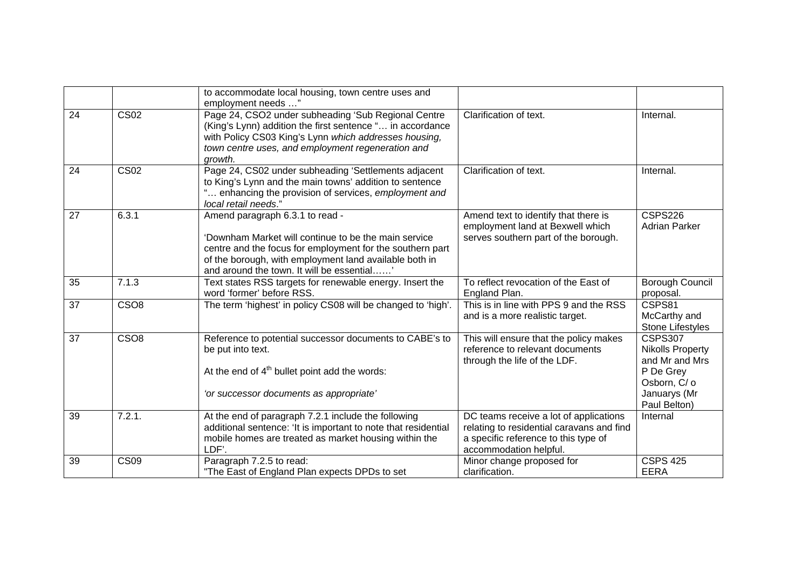|                 |                          | to accommodate local housing, town centre uses and<br>employment needs "                                                                                                                                                                                     |                                                                                                                                                       |                                                                                                                          |
|-----------------|--------------------------|--------------------------------------------------------------------------------------------------------------------------------------------------------------------------------------------------------------------------------------------------------------|-------------------------------------------------------------------------------------------------------------------------------------------------------|--------------------------------------------------------------------------------------------------------------------------|
| 24              | $\overline{\text{CS}02}$ | Page 24, CSO2 under subheading 'Sub Regional Centre<br>(King's Lynn) addition the first sentence " in accordance<br>with Policy CS03 King's Lynn which addresses housing,<br>town centre uses, and employment regeneration and<br>growth.                    | Clarification of text.                                                                                                                                | Internal.                                                                                                                |
| 24              | <b>CS02</b>              | Page 24, CS02 under subheading 'Settlements adjacent<br>to King's Lynn and the main towns' addition to sentence<br>enhancing the provision of services, employment and<br>local retail needs."                                                               | Clarification of text.                                                                                                                                | Internal.                                                                                                                |
| 27              | 6.3.1                    | Amend paragraph 6.3.1 to read -<br>'Downham Market will continue to be the main service<br>centre and the focus for employment for the southern part<br>of the borough, with employment land available both in<br>and around the town. It will be essential' | Amend text to identify that there is<br>employment land at Bexwell which<br>serves southern part of the borough.                                      | <b>CSPS226</b><br><b>Adrian Parker</b>                                                                                   |
| 35              | 7.1.3                    | Text states RSS targets for renewable energy. Insert the<br>word 'former' before RSS.                                                                                                                                                                        | To reflect revocation of the East of<br>England Plan.                                                                                                 | <b>Borough Council</b><br>proposal.                                                                                      |
| $\overline{37}$ | CSO <sub>8</sub>         | The term 'highest' in policy CS08 will be changed to 'high'.                                                                                                                                                                                                 | This is in line with PPS 9 and the RSS<br>and is a more realistic target.                                                                             | CSPS81<br>McCarthy and<br>Stone Lifestyles                                                                               |
| 37              | CSO <sub>8</sub>         | Reference to potential successor documents to CABE's to<br>be put into text.<br>At the end of $4th$ bullet point add the words:<br>'or successor documents as appropriate'                                                                                   | This will ensure that the policy makes<br>reference to relevant documents<br>through the life of the LDF.                                             | <b>CSPS307</b><br><b>Nikolls Property</b><br>and Mr and Mrs<br>P De Grey<br>Osborn, C/ o<br>Januarys (Mr<br>Paul Belton) |
| 39              | 7.2.1.                   | At the end of paragraph 7.2.1 include the following<br>additional sentence: 'It is important to note that residential<br>mobile homes are treated as market housing within the<br>LDF'.                                                                      | DC teams receive a lot of applications<br>relating to residential caravans and find<br>a specific reference to this type of<br>accommodation helpful. | Internal                                                                                                                 |
| 39              | $\overline{\text{CS09}}$ | Paragraph 7.2.5 to read:<br>"The East of England Plan expects DPDs to set                                                                                                                                                                                    | Minor change proposed for<br>clarification.                                                                                                           | <b>CSPS 425</b><br><b>EERA</b>                                                                                           |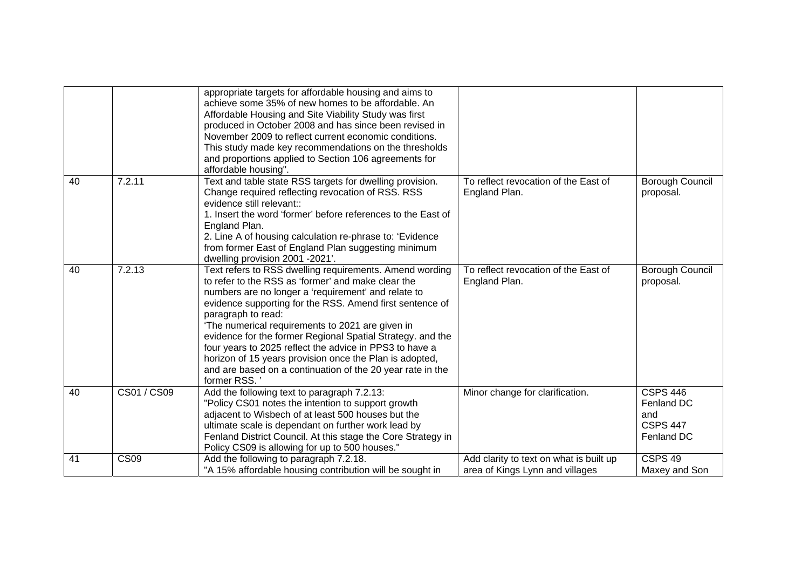|    |                  | appropriate targets for affordable housing and aims to<br>achieve some 35% of new homes to be affordable. An<br>Affordable Housing and Site Viability Study was first<br>produced in October 2008 and has since been revised in<br>November 2009 to reflect current economic conditions.<br>This study made key recommendations on the thresholds<br>and proportions applied to Section 106 agreements for<br>affordable housing".                                                                                                                                          |                                                                            |                                                                       |
|----|------------------|-----------------------------------------------------------------------------------------------------------------------------------------------------------------------------------------------------------------------------------------------------------------------------------------------------------------------------------------------------------------------------------------------------------------------------------------------------------------------------------------------------------------------------------------------------------------------------|----------------------------------------------------------------------------|-----------------------------------------------------------------------|
| 40 | 7.2.11           | Text and table state RSS targets for dwelling provision.<br>Change required reflecting revocation of RSS. RSS<br>evidence still relevant::<br>1. Insert the word 'former' before references to the East of<br>England Plan.<br>2. Line A of housing calculation re-phrase to: 'Evidence<br>from former East of England Plan suggesting minimum<br>dwelling provision 2001 -2021'.                                                                                                                                                                                           | To reflect revocation of the East of<br>England Plan.                      | Borough Council<br>proposal.                                          |
| 40 | 7.2.13           | Text refers to RSS dwelling requirements. Amend wording<br>to refer to the RSS as 'former' and make clear the<br>numbers are no longer a 'requirement' and relate to<br>evidence supporting for the RSS. Amend first sentence of<br>paragraph to read:<br>'The numerical requirements to 2021 are given in<br>evidence for the former Regional Spatial Strategy. and the<br>four years to 2025 reflect the advice in PPS3 to have a<br>horizon of 15 years provision once the Plan is adopted,<br>and are based on a continuation of the 20 year rate in the<br>former RSS. | To reflect revocation of the East of<br>England Plan.                      | <b>Borough Council</b><br>proposal.                                   |
| 40 | CS01 / CS09      | Add the following text to paragraph 7.2.13:<br>"Policy CS01 notes the intention to support growth<br>adjacent to Wisbech of at least 500 houses but the<br>ultimate scale is dependant on further work lead by<br>Fenland District Council. At this stage the Core Strategy in<br>Policy CS09 is allowing for up to 500 houses."                                                                                                                                                                                                                                            | Minor change for clarification.                                            | <b>CSPS 446</b><br>Fenland DC<br>and<br><b>CSPS 447</b><br>Fenland DC |
| 41 | CS <sub>09</sub> | Add the following to paragraph 7.2.18.<br>"A 15% affordable housing contribution will be sought in                                                                                                                                                                                                                                                                                                                                                                                                                                                                          | Add clarity to text on what is built up<br>area of Kings Lynn and villages | CSPS <sub>49</sub><br>Maxey and Son                                   |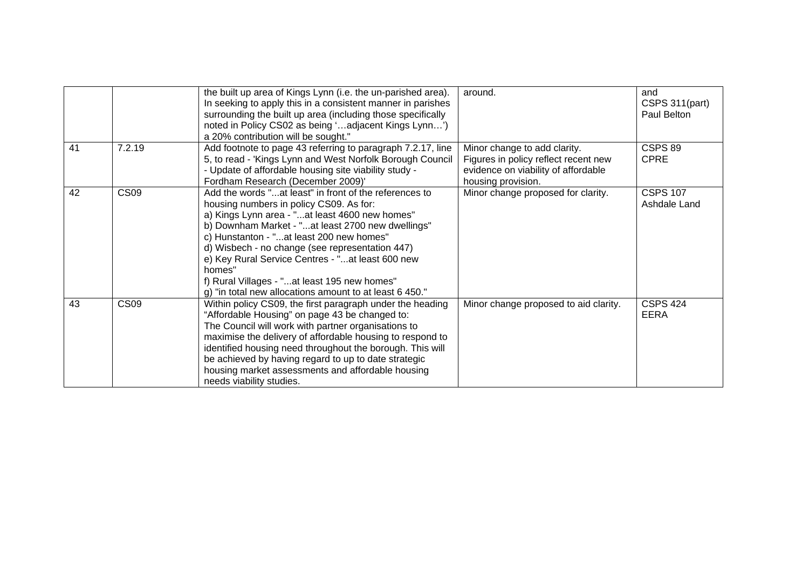|    |                  | the built up area of Kings Lynn (i.e. the un-parished area).<br>In seeking to apply this in a consistent manner in parishes<br>surrounding the built up area (including those specifically<br>noted in Policy CS02 as being 'adjacent Kings Lynn')<br>a 20% contribution will be sought."                                                                                                                                                                                        | around.                                                                                                                           | and<br>CSPS 311(part)<br>Paul Belton |
|----|------------------|----------------------------------------------------------------------------------------------------------------------------------------------------------------------------------------------------------------------------------------------------------------------------------------------------------------------------------------------------------------------------------------------------------------------------------------------------------------------------------|-----------------------------------------------------------------------------------------------------------------------------------|--------------------------------------|
| 41 | 7.2.19           | Add footnote to page 43 referring to paragraph 7.2.17, line<br>5, to read - 'Kings Lynn and West Norfolk Borough Council<br>- Update of affordable housing site viability study -<br>Fordham Research (December 2009)'                                                                                                                                                                                                                                                           | Minor change to add clarity.<br>Figures in policy reflect recent new<br>evidence on viability of affordable<br>housing provision. | CSPS 89<br><b>CPRE</b>               |
| 42 | CS <sub>09</sub> | Add the words "at least" in front of the references to<br>housing numbers in policy CS09. As for:<br>a) Kings Lynn area - "at least 4600 new homes"<br>b) Downham Market - "at least 2700 new dwellings"<br>c) Hunstanton - "at least 200 new homes"<br>d) Wisbech - no change (see representation 447)<br>e) Key Rural Service Centres - "at least 600 new<br>homes"<br>f) Rural Villages - "at least 195 new homes"<br>g) "in total new allocations amount to at least 6 450." | Minor change proposed for clarity.                                                                                                | <b>CSPS 107</b><br>Ashdale Land      |
| 43 | CS <sub>09</sub> | Within policy CS09, the first paragraph under the heading<br>"Affordable Housing" on page 43 be changed to:<br>The Council will work with partner organisations to<br>maximise the delivery of affordable housing to respond to<br>identified housing need throughout the borough. This will<br>be achieved by having regard to up to date strategic<br>housing market assessments and affordable housing<br>needs viability studies.                                            | Minor change proposed to aid clarity.                                                                                             | <b>CSPS 424</b><br><b>EERA</b>       |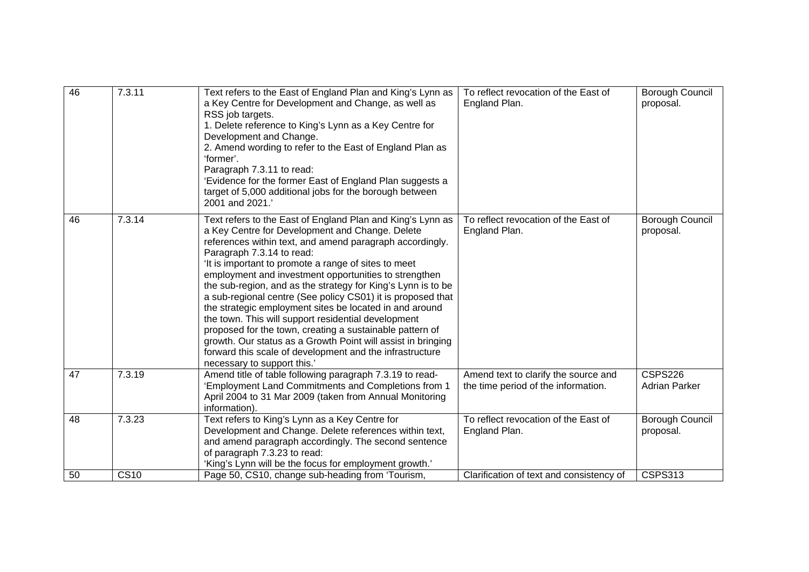| 46 | 7.3.11 | Text refers to the East of England Plan and King's Lynn as<br>a Key Centre for Development and Change, as well as<br>RSS job targets.<br>1. Delete reference to King's Lynn as a Key Centre for<br>Development and Change.<br>2. Amend wording to refer to the East of England Plan as<br>'former'.<br>Paragraph 7.3.11 to read:<br>'Evidence for the former East of England Plan suggests a<br>target of 5,000 additional jobs for the borough between<br>2001 and 2021.'                                                                                                                                                                                                                                                                                                                      | To reflect revocation of the East of<br>England Plan.                       | <b>Borough Council</b><br>proposal.    |
|----|--------|-------------------------------------------------------------------------------------------------------------------------------------------------------------------------------------------------------------------------------------------------------------------------------------------------------------------------------------------------------------------------------------------------------------------------------------------------------------------------------------------------------------------------------------------------------------------------------------------------------------------------------------------------------------------------------------------------------------------------------------------------------------------------------------------------|-----------------------------------------------------------------------------|----------------------------------------|
| 46 | 7.3.14 | Text refers to the East of England Plan and King's Lynn as<br>a Key Centre for Development and Change. Delete<br>references within text, and amend paragraph accordingly.<br>Paragraph 7.3.14 to read:<br>'It is important to promote a range of sites to meet<br>employment and investment opportunities to strengthen<br>the sub-region, and as the strategy for King's Lynn is to be<br>a sub-regional centre (See policy CS01) it is proposed that<br>the strategic employment sites be located in and around<br>the town. This will support residential development<br>proposed for the town, creating a sustainable pattern of<br>growth. Our status as a Growth Point will assist in bringing<br>forward this scale of development and the infrastructure<br>necessary to support this.' | To reflect revocation of the East of<br>England Plan.                       | <b>Borough Council</b><br>proposal.    |
| 47 | 7.3.19 | Amend title of table following paragraph 7.3.19 to read-<br>'Employment Land Commitments and Completions from 1<br>April 2004 to 31 Mar 2009 (taken from Annual Monitoring<br>information).                                                                                                                                                                                                                                                                                                                                                                                                                                                                                                                                                                                                     | Amend text to clarify the source and<br>the time period of the information. | <b>CSPS226</b><br><b>Adrian Parker</b> |
| 48 | 7.3.23 | Text refers to King's Lynn as a Key Centre for<br>Development and Change. Delete references within text,<br>and amend paragraph accordingly. The second sentence<br>of paragraph 7.3.23 to read:<br>'King's Lynn will be the focus for employment growth.'                                                                                                                                                                                                                                                                                                                                                                                                                                                                                                                                      | To reflect revocation of the East of<br>England Plan.                       | Borough Council<br>proposal.           |
| 50 | CS10   | Page 50, CS10, change sub-heading from 'Tourism,                                                                                                                                                                                                                                                                                                                                                                                                                                                                                                                                                                                                                                                                                                                                                | Clarification of text and consistency of                                    | <b>CSPS313</b>                         |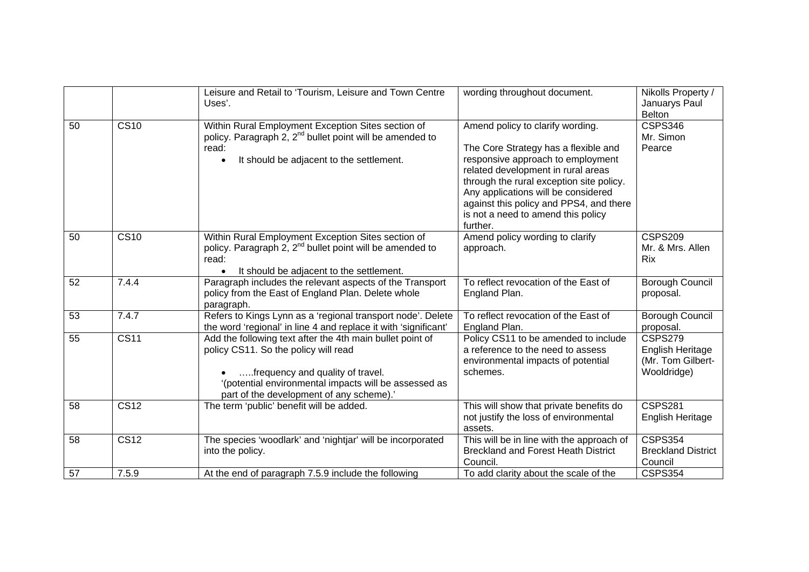|    |                          | Leisure and Retail to 'Tourism, Leisure and Town Centre<br>Uses'.                                                                                                                                                                          | wording throughout document.                                                                                                                                                                                                                                                                                                        | Nikolls Property /<br>Januarys Paul<br><b>Belton</b>            |
|----|--------------------------|--------------------------------------------------------------------------------------------------------------------------------------------------------------------------------------------------------------------------------------------|-------------------------------------------------------------------------------------------------------------------------------------------------------------------------------------------------------------------------------------------------------------------------------------------------------------------------------------|-----------------------------------------------------------------|
| 50 | $\overline{\text{CS}10}$ | Within Rural Employment Exception Sites section of<br>policy. Paragraph 2, 2 <sup>nd</sup> bullet point will be amended to<br>read:<br>It should be adjacent to the settlement.                                                            | Amend policy to clarify wording.<br>The Core Strategy has a flexible and<br>responsive approach to employment<br>related development in rural areas<br>through the rural exception site policy.<br>Any applications will be considered<br>against this policy and PPS4, and there<br>is not a need to amend this policy<br>further. | <b>CSPS346</b><br>Mr. Simon<br>Pearce                           |
| 50 | $\overline{\text{CS}10}$ | Within Rural Employment Exception Sites section of<br>policy. Paragraph 2, 2 <sup>nd</sup> bullet point will be amended to<br>read:<br>It should be adjacent to the settlement.                                                            | Amend policy wording to clarify<br>approach.                                                                                                                                                                                                                                                                                        | <b>CSPS209</b><br>Mr. & Mrs. Allen<br><b>Rix</b>                |
| 52 | 7.4.4                    | Paragraph includes the relevant aspects of the Transport<br>policy from the East of England Plan. Delete whole<br>paragraph.                                                                                                               | To reflect revocation of the East of<br>England Plan.                                                                                                                                                                                                                                                                               | <b>Borough Council</b><br>proposal.                             |
| 53 | 7.4.7                    | Refers to Kings Lynn as a 'regional transport node'. Delete<br>the word 'regional' in line 4 and replace it with 'significant'                                                                                                             | To reflect revocation of the East of<br>England Plan.                                                                                                                                                                                                                                                                               | <b>Borough Council</b><br>proposal.                             |
| 55 | $\overline{\text{CS}11}$ | Add the following text after the 4th main bullet point of<br>policy CS11. So the policy will read<br>frequency and quality of travel.<br>'(potential environmental impacts will be assessed as<br>part of the development of any scheme).' | Policy CS11 to be amended to include<br>a reference to the need to assess<br>environmental impacts of potential<br>schemes.                                                                                                                                                                                                         | CSPS279<br>English Heritage<br>(Mr. Tom Gilbert-<br>Wooldridge) |
| 58 | <b>CS12</b>              | The term 'public' benefit will be added.                                                                                                                                                                                                   | This will show that private benefits do<br>not justify the loss of environmental<br>assets.                                                                                                                                                                                                                                         | <b>CSPS281</b><br>English Heritage                              |
| 58 | $\overline{\text{CS}12}$ | The species 'woodlark' and 'nightjar' will be incorporated<br>into the policy.                                                                                                                                                             | This will be in line with the approach of<br><b>Breckland and Forest Heath District</b><br>Council.                                                                                                                                                                                                                                 | <b>CSPS354</b><br><b>Breckland District</b><br>Council          |
| 57 | 7.5.9                    | At the end of paragraph 7.5.9 include the following                                                                                                                                                                                        | To add clarity about the scale of the                                                                                                                                                                                                                                                                                               | <b>CSPS354</b>                                                  |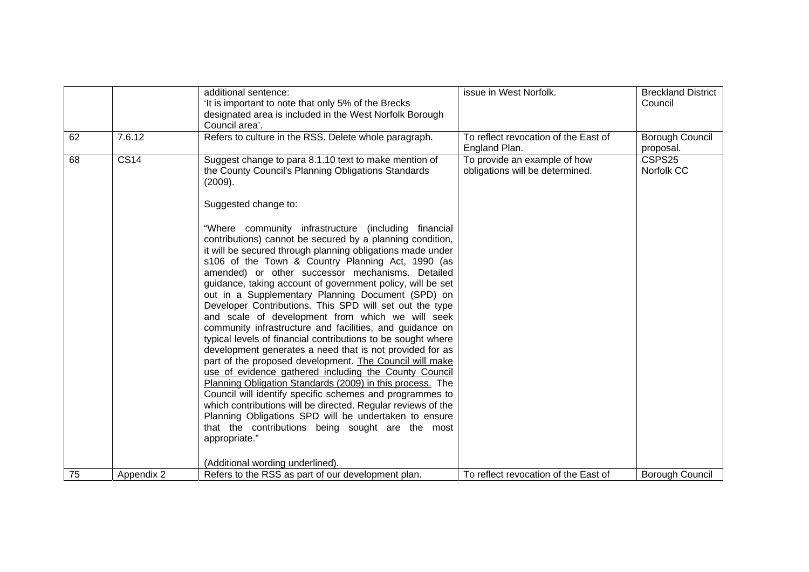|    |             | additional sentence:<br>'It is important to note that only 5% of the Brecks<br>designated area is included in the West Norfolk Borough<br>Council area'.                                                                                                                                                                                                                                                                                                                                                                                                                                                                                                                                                                                                                                                                                                                                                                                                                                                                                                                                                                                                      | issue in West Norfolk.                                          | <b>Breckland District</b><br>Council |
|----|-------------|---------------------------------------------------------------------------------------------------------------------------------------------------------------------------------------------------------------------------------------------------------------------------------------------------------------------------------------------------------------------------------------------------------------------------------------------------------------------------------------------------------------------------------------------------------------------------------------------------------------------------------------------------------------------------------------------------------------------------------------------------------------------------------------------------------------------------------------------------------------------------------------------------------------------------------------------------------------------------------------------------------------------------------------------------------------------------------------------------------------------------------------------------------------|-----------------------------------------------------------------|--------------------------------------|
| 62 | 7.6.12      | Refers to culture in the RSS. Delete whole paragraph.                                                                                                                                                                                                                                                                                                                                                                                                                                                                                                                                                                                                                                                                                                                                                                                                                                                                                                                                                                                                                                                                                                         | To reflect revocation of the East of<br>England Plan.           | <b>Borough Council</b><br>proposal.  |
| 68 | <b>CS14</b> | Suggest change to para 8.1.10 text to make mention of<br>the County Council's Planning Obligations Standards<br>(2009).<br>Suggested change to:                                                                                                                                                                                                                                                                                                                                                                                                                                                                                                                                                                                                                                                                                                                                                                                                                                                                                                                                                                                                               | To provide an example of how<br>obligations will be determined. | CSPS25<br>Norfolk CC                 |
|    |             | "Where community infrastructure (including financial<br>contributions) cannot be secured by a planning condition,<br>it will be secured through planning obligations made under<br>s106 of the Town & Country Planning Act, 1990 (as<br>amended) or other successor mechanisms. Detailed<br>guidance, taking account of government policy, will be set<br>out in a Supplementary Planning Document (SPD) on<br>Developer Contributions. This SPD will set out the type<br>and scale of development from which we will seek<br>community infrastructure and facilities, and guidance on<br>typical levels of financial contributions to be sought where<br>development generates a need that is not provided for as<br>part of the proposed development. The Council will make<br>use of evidence gathered including the County Council<br>Planning Obligation Standards (2009) in this process. The<br>Council will identify specific schemes and programmes to<br>which contributions will be directed. Regular reviews of the<br>Planning Obligations SPD will be undertaken to ensure<br>that the contributions being sought are the most<br>appropriate." |                                                                 |                                      |
|    |             | (Additional wording underlined).                                                                                                                                                                                                                                                                                                                                                                                                                                                                                                                                                                                                                                                                                                                                                                                                                                                                                                                                                                                                                                                                                                                              |                                                                 |                                      |
| 75 | Appendix 2  | Refers to the RSS as part of our development plan.                                                                                                                                                                                                                                                                                                                                                                                                                                                                                                                                                                                                                                                                                                                                                                                                                                                                                                                                                                                                                                                                                                            | To reflect revocation of the East of                            | <b>Borough Council</b>               |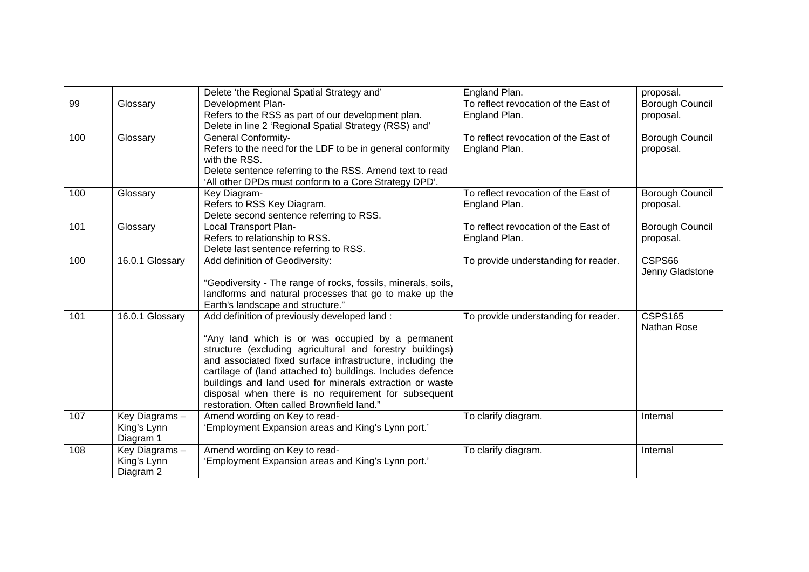|     |                                           | Delete 'the Regional Spatial Strategy and'                                                                                                                                                                                                                                                                                                                                                                                                                     | England Plan.                                         | proposal.                            |
|-----|-------------------------------------------|----------------------------------------------------------------------------------------------------------------------------------------------------------------------------------------------------------------------------------------------------------------------------------------------------------------------------------------------------------------------------------------------------------------------------------------------------------------|-------------------------------------------------------|--------------------------------------|
| 99  | Glossary                                  | Development Plan-<br>Refers to the RSS as part of our development plan.<br>Delete in line 2 'Regional Spatial Strategy (RSS) and'                                                                                                                                                                                                                                                                                                                              | To reflect revocation of the East of<br>England Plan. | <b>Borough Council</b><br>proposal.  |
| 100 | Glossary                                  | <b>General Conformity-</b><br>Refers to the need for the LDF to be in general conformity<br>with the RSS.<br>Delete sentence referring to the RSS. Amend text to read<br>'All other DPDs must conform to a Core Strategy DPD'.                                                                                                                                                                                                                                 | To reflect revocation of the East of<br>England Plan. | <b>Borough Council</b><br>proposal.  |
| 100 | Glossary                                  | Key Diagram-<br>Refers to RSS Key Diagram.<br>Delete second sentence referring to RSS.                                                                                                                                                                                                                                                                                                                                                                         | To reflect revocation of the East of<br>England Plan. | <b>Borough Council</b><br>proposal.  |
| 101 | Glossary                                  | <b>Local Transport Plan-</b><br>Refers to relationship to RSS.<br>Delete last sentence referring to RSS.                                                                                                                                                                                                                                                                                                                                                       | To reflect revocation of the East of<br>England Plan. | <b>Borough Council</b><br>proposal.  |
| 100 | 16.0.1 Glossary                           | Add definition of Geodiversity:<br>"Geodiversity - The range of rocks, fossils, minerals, soils,<br>landforms and natural processes that go to make up the<br>Earth's landscape and structure."                                                                                                                                                                                                                                                                | To provide understanding for reader.                  | CSPS66<br>Jenny Gladstone            |
| 101 | 16.0.1 Glossary                           | Add definition of previously developed land:<br>"Any land which is or was occupied by a permanent<br>structure (excluding agricultural and forestry buildings)<br>and associated fixed surface infrastructure, including the<br>cartilage of (land attached to) buildings. Includes defence<br>buildings and land used for minerals extraction or waste<br>disposal when there is no requirement for subsequent<br>restoration. Often called Brownfield land." | To provide understanding for reader.                  | <b>CSPS165</b><br><b>Nathan Rose</b> |
| 107 | Key Diagrams-<br>King's Lynn<br>Diagram 1 | Amend wording on Key to read-<br>'Employment Expansion areas and King's Lynn port.'                                                                                                                                                                                                                                                                                                                                                                            | To clarify diagram.                                   | Internal                             |
| 108 | Key Diagrams-<br>King's Lynn<br>Diagram 2 | Amend wording on Key to read-<br>'Employment Expansion areas and King's Lynn port.'                                                                                                                                                                                                                                                                                                                                                                            | To clarify diagram.                                   | Internal                             |